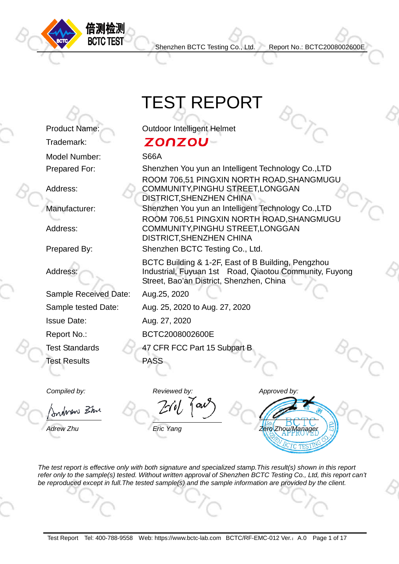

**BCTC TEST** 

Trademark:

Address:

Address:

Address:

Shenzhen BCTC Testing Co., Ltd. Report No.: BCTC2008002600E

## TEST REPORT

Product Name: Outdoor Intelligent Helmet

## **ZONZOU-**

Model Number: S66A

Prepared For: Shenzhen You yun an Intelligent Technology Co.,LTD ROOM 706,51 PINGXIN NORTH ROAD,SHANGMUGU COMMUNITY,PINGHU STREET,LONGGAN DISTRICT,SHENZHEN CHINA Manufacturer: Shenzhen You yun an Intelligent Technology Co.,LTD ROOM 706,51 PINGXIN NORTH ROAD,SHANGMUGU COMMUNITY,PINGHU STREET,LONGGAN DISTRICT,SHENZHEN CHINA

Prepared By: Shenzhen BCTC Testing Co., Ltd.

BCTC Building & 1-2F, East of B Building, Pengzhou Industrial, Fuyuan 1st Road, Qiaotou Community, Fuyong Street, Bao'an District, Shenzhen, China

Sample Received Date: Aug.25, 2020

Sample tested Date: Aug. 25, 2020 to Aug. 27, 2020

**Issue Date:** Aug. 27, 2020

Report No.: BCTC2008002600E

Test Standards 47 CFR FCC Part 15 Subpart B Test Results PASS

rdnew Zhr

# *Compiled by: Reviewed by: Approved by:*

*Adrew Zhu Eric Yang Zero Zhou/Manager*

*The test report is effective only with both signature and specialized stamp.This result(s) shown in this report refer only to the sample(s) tested. Without written approval of Shenzhen BCTC Testing Co., Ltd, this report can't be reproduced except in full.The tested sample(s) and the sample information are provided by the client.*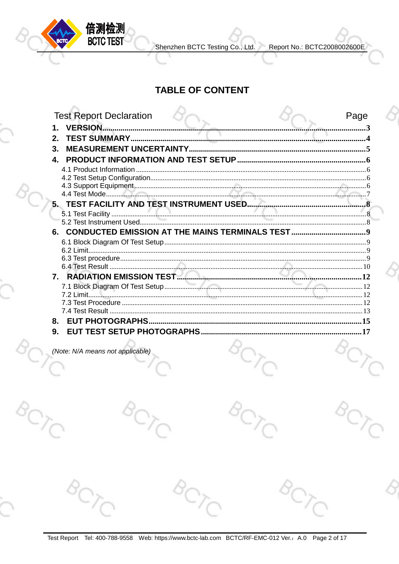

Shenzhen BCTC Testing Co., Ltd.

Report No.: BCTC2008002600E

#### **TABLE OF CONTENT**

| <b>Test Report Declaration</b> |  | Page |  |
|--------------------------------|--|------|--|
| <b>VERSION.</b>                |  |      |  |
|                                |  |      |  |
| 3.                             |  |      |  |
| 4.                             |  |      |  |
|                                |  |      |  |
|                                |  |      |  |
|                                |  |      |  |
|                                |  |      |  |
|                                |  |      |  |
|                                |  |      |  |
|                                |  |      |  |
| 6.                             |  |      |  |
|                                |  |      |  |
|                                |  |      |  |
|                                |  |      |  |
|                                |  |      |  |
| $7_{-}$                        |  |      |  |
|                                |  |      |  |
|                                |  |      |  |
|                                |  |      |  |
|                                |  |      |  |
| 8.                             |  |      |  |
| 9.<br>FU                       |  |      |  |
|                                |  |      |  |

(Note: N/A means not applicable)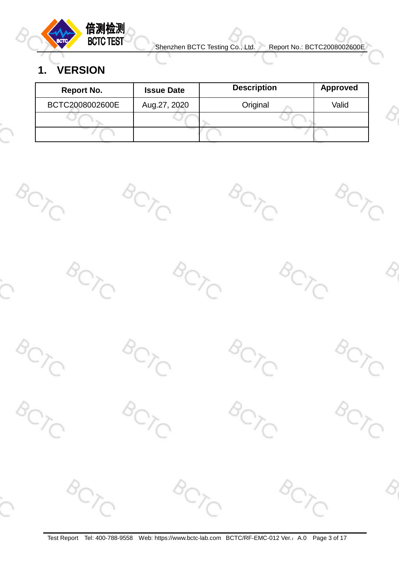

## <span id="page-2-0"></span>**1. VERSION**

| Report No.      | <b>Issue Date</b> | <b>Description</b> | <b>Approved</b> |
|-----------------|-------------------|--------------------|-----------------|
| BCTC2008002600E | Aug.27, 2020      | Original           | Valid           |
|                 |                   |                    |                 |
|                 |                   |                    |                 |

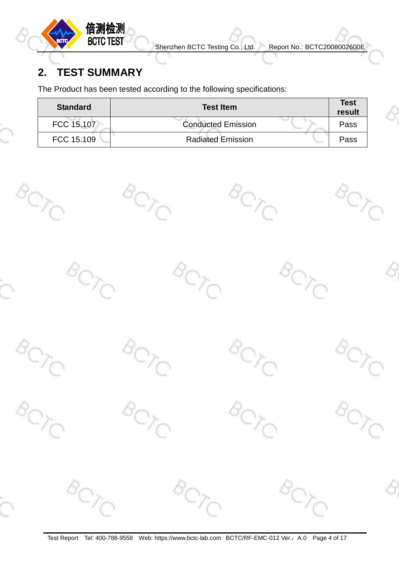

## <span id="page-3-0"></span>**2. TEST SUMMARY**

The Product has been tested according to the following specifications:

| <b>Standard</b> | <b>Test Item</b>          | <b>Test</b><br>result |
|-----------------|---------------------------|-----------------------|
| FCC 15.107      | <b>Conducted Emission</b> | Pass                  |
| FCC 15.109      | <b>Radiated Emission</b>  | Pass                  |

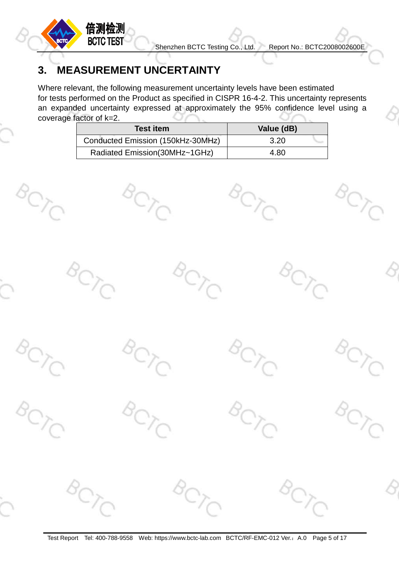

## <span id="page-4-0"></span>**3. MEASUREMENT UNCERTAINTY**

Where relevant, the following measurement uncertainty levels have been estimated for tests performed on the Product as specified in CISPR 16-4-2. This uncertainty represents an expanded uncertainty expressed at approximately the 95% confidence level using a coverage factor of k=2.

| <b>Test item</b>                  | Value (dB) |
|-----------------------------------|------------|
| Conducted Emission (150kHz-30MHz) | 3.20       |
| Radiated Emission(30MHz~1GHz)     | 4.80       |

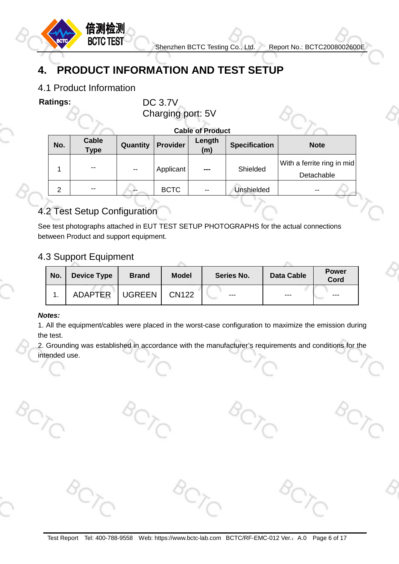

## <span id="page-5-0"></span>**4. PRODUCT INFORMATION AND TEST SETUP**

#### <span id="page-5-1"></span>4.1 Product Information

倍测检测 **BCTC TEST** 

**Ratings:** DC 3.7V Charging port: 5V

**Cable of Product**

| No.            | <b>Cable</b><br><b>Type</b> | Quantity | <b>Provider</b> | Length<br>(m) | <b>Specification</b> | <b>Note</b>                              |
|----------------|-----------------------------|----------|-----------------|---------------|----------------------|------------------------------------------|
|                | $ -$                        | $-$      | Applicant       | ---           | Shielded             | With a ferrite ring in mid<br>Detachable |
| $\overline{2}$ | $ -$                        | --       | <b>BCTC</b>     | $- -$         | Unshielded           | $- -$                                    |

#### <span id="page-5-2"></span>4.2 Test Setup Configuration

See test photographs attached in EUT TEST SETUP PHOTOGRAPHS for the actual connections between Product and support equipment.

#### <span id="page-5-3"></span>4.3 Support Equipment

| No. | <b>Device Type</b> | <b>Brand</b>  | <b>Model</b> | Series No. | <b>Data Cable</b> | <b>Power</b><br>Cord |
|-----|--------------------|---------------|--------------|------------|-------------------|----------------------|
|     | <b>ADAPTER</b>     | <b>UGREEN</b> | <b>CN122</b> | ---        | ---               | $---$                |

#### *Notes:*

1. All the equipment/cables were placed in the worst-case configuration to maximize the emission during the test.

2. Grounding was established in accordance with the manufacturer's requirements and conditions for the intended use.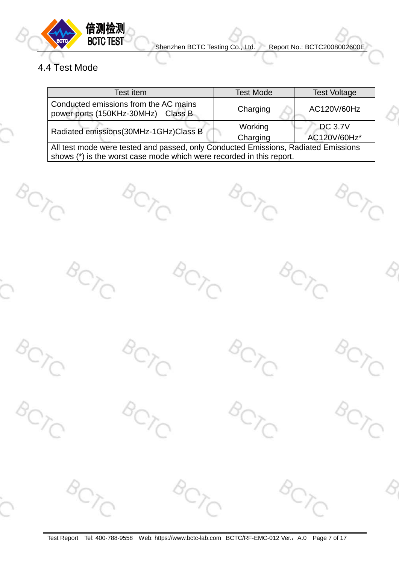

### <span id="page-6-0"></span>4.4 Test Mode

| Test item                                                                          | <b>Test Mode</b> | <b>Test Voltage</b> |  |  |  |  |
|------------------------------------------------------------------------------------|------------------|---------------------|--|--|--|--|
| Conducted emissions from the AC mains<br>power ports (150KHz-30MHz) Class B        | Charging         | AC120V/60Hz         |  |  |  |  |
| Radiated emissions(30MHz-1GHz)Class B                                              | Working          | <b>DC 3.7V</b>      |  |  |  |  |
|                                                                                    | Charging         | AC120V/60Hz*        |  |  |  |  |
| All test mode were tested and passed, only Conducted Emissions, Radiated Emissions |                  |                     |  |  |  |  |
| shows (*) is the worst case mode which were recorded in this report.               |                  |                     |  |  |  |  |

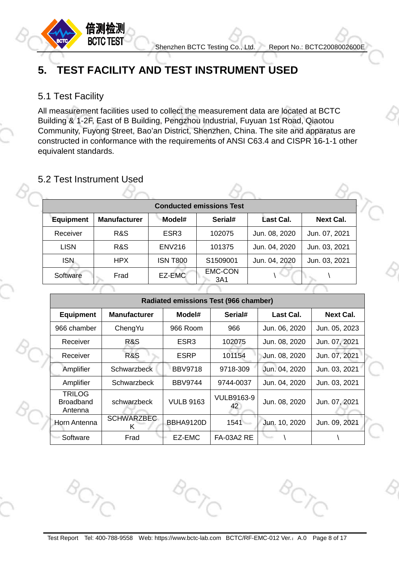

## <span id="page-7-0"></span>**5. TEST FACILITY AND TEST INSTRUMENT USED**

#### <span id="page-7-1"></span>5.1 Test Facility

All measurement facilities used to collect the measurement data are located at BCTC Building & 1-2F, East of B Building, Pengzhou Industrial, Fuyuan 1st Road, Qiaotou Community, Fuyong Street, Bao'an District, Shenzhen, China. The site and apparatus are constructed in conformance with the requirements of ANSI C63.4 and CISPR 16-1-1 other equivalent standards.

#### <span id="page-7-2"></span>5.2 Test Instrument Used

| <b>Conducted emissions Test</b> |                     |                  |                       |               |                  |  |  |  |
|---------------------------------|---------------------|------------------|-----------------------|---------------|------------------|--|--|--|
| <b>Equipment</b>                | <b>Manufacturer</b> | Model#           | Serial#               | Last Cal.     | <b>Next Cal.</b> |  |  |  |
| Receiver                        | R&S                 | ESR <sub>3</sub> | 102075                | Jun. 08, 2020 | Jun. 07, 2021    |  |  |  |
| <b>LISN</b>                     | R&S                 | <b>ENV216</b>    | 101375                | Jun. 04, 2020 | Jun. 03, 2021    |  |  |  |
| <b>ISN</b>                      | <b>HPX</b>          | <b>ISN T800</b>  | S <sub>1509001</sub>  | Jun. 04, 2020 | Jun. 03, 2021    |  |  |  |
| Software                        | Frad                | EZ-EMC           | <b>EMC-CON</b><br>3A1 |               |                  |  |  |  |
|                                 |                     |                  |                       |               |                  |  |  |  |

| <b>Radiated emissions Test (966 chamber)</b> |                        |                  |                         |               |                  |  |  |  |  |
|----------------------------------------------|------------------------|------------------|-------------------------|---------------|------------------|--|--|--|--|
| <b>Equipment</b>                             | <b>Manufacturer</b>    | Model#           | Serial#                 | Last Cal.     | <b>Next Cal.</b> |  |  |  |  |
| 966 chamber<br>ChengYu                       |                        | 966 Room         | 966                     | Jun. 06, 2020 | Jun. 05, 2023    |  |  |  |  |
| R&S<br>Receiver                              |                        | ESR <sub>3</sub> | 102075                  | Jun. 08, 2020 | Jun. 07, 2021    |  |  |  |  |
| Receiver                                     | R&S                    | <b>ESRP</b>      | 101154                  | Jun. 08, 2020 | Jun. 07, 2021    |  |  |  |  |
| Amplifier                                    | <b>Schwarzbeck</b>     | <b>BBV9718</b>   | 9718-309                | Jun. 04, 2020 | Jun. 03, 2021    |  |  |  |  |
| Amplifier                                    | Schwarzbeck            | <b>BBV9744</b>   | 9744-0037               | Jun. 04, 2020 | Jun. 03, 2021    |  |  |  |  |
| <b>TRILOG</b><br><b>Broadband</b><br>Antenna | schwarzbeck            | <b>VULB 9163</b> | <b>VULB9163-9</b><br>42 | Jun. 08, 2020 | Jun. 07, 2021    |  |  |  |  |
| Horn Antenna                                 | <b>SCHWARZBEC</b><br>Κ | BBHA9120D        | 1541                    | Jun. 10, 2020 | Jun. 09, 2021    |  |  |  |  |
| Software                                     | Frad                   | EZ-EMC           | <b>FA-03A2 RE</b>       |               |                  |  |  |  |  |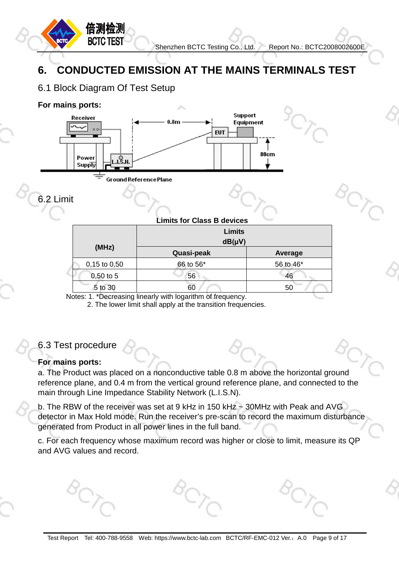## <span id="page-8-0"></span>**6. CONDUCTED EMISSION AT THE MAINS TERMINALS TEST**

#### <span id="page-8-1"></span>6.1 Block Diagram Of Test Setup

倍测检测 **BCTC TEST** 

#### **For mains ports:**



<span id="page-8-2"></span>6.2 Limit

|  |  |  |  |  | <b>Limits for Class B devices</b> |
|--|--|--|--|--|-----------------------------------|
|--|--|--|--|--|-----------------------------------|

|                  | <b>Limits</b><br>$dB(\mu V)$ |           |
|------------------|------------------------------|-----------|
| (MHz)            | Quasi-peak                   | Average   |
| $0,15$ to $0,50$ | 66 to 56*                    | 56 to 46* |
| $0,50$ to 5      | 56                           | 46        |
| 5 to 30          | 60                           | 50        |

Notes: 1. \*Decreasing linearly with logarithm of frequency.

2. The lower limit shall apply at the transition frequencies.

#### <span id="page-8-3"></span>6.3 Test procedure

#### **For mains ports:**

a. The Product was placed on a nonconductive table 0.8 m above the horizontal ground reference plane, and 0.4 m from the vertical ground reference plane, and connected to the main through Line Impedance Stability Network (L.I.S.N).

b. The RBW of the receiver was set at 9 kHz in 150 kHz ~ 30MHz with Peak and AVG detector in Max Hold mode. Run the receiver's pre-scan to record the maximum disturbance generated from Product in all power lines in the full band.

c. For each frequency whose maximum record was higher or close to limit, measure its QP and AVG values and record.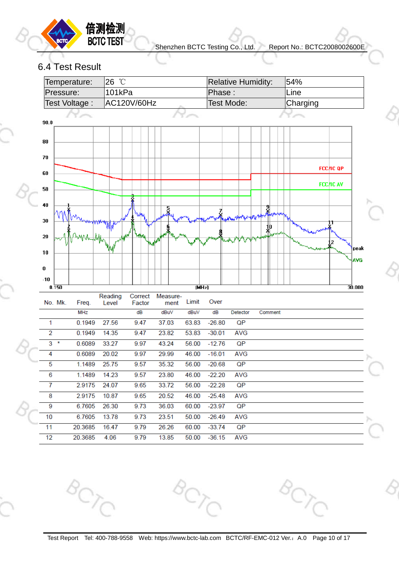

#### <span id="page-9-0"></span>6.4 Test Result

|                | Temperature:           | 26 °C            |                   |                  |       |                   | <b>Relative Humidity:</b>                       |         | 54%      |                  |
|----------------|------------------------|------------------|-------------------|------------------|-------|-------------------|-------------------------------------------------|---------|----------|------------------|
|                | Pressure:              | 101kPa           |                   |                  |       | Phase:            |                                                 |         | Line     |                  |
|                | Test Voltage:          |                  | AC120V/60Hz       |                  |       | <b>Test Mode:</b> |                                                 |         | Charging |                  |
| 90.0           |                        |                  |                   |                  |       |                   |                                                 |         |          |                  |
| 80             |                        |                  |                   |                  |       |                   |                                                 |         |          |                  |
| 70<br>60       |                        |                  |                   |                  |       |                   |                                                 |         |          | <b>FCC/IC QP</b> |
| 50             |                        |                  |                   |                  |       |                   |                                                 |         |          | <b>FCC/IC AV</b> |
| 40             |                        |                  |                   | ş                |       |                   |                                                 |         |          |                  |
| 30             |                        |                  | <b>MMA</b>        |                  |       |                   | بهيمهم والمالي المالية المرياح المواطن والمعالج | 和       |          |                  |
| 20<br>10       |                        |                  | M                 |                  |       |                   |                                                 |         |          | 2<br>peak        |
| 0              |                        |                  |                   |                  |       |                   |                                                 |         |          | <b>AVG</b>       |
| $-10$          | 0.150                  |                  |                   |                  | (MHz) |                   |                                                 |         |          | 30.000           |
|                | No. Mk.<br>Freq.       | Reading<br>Level | Correct<br>Factor | Measure-<br>ment | Limit | Over              |                                                 |         |          |                  |
|                | <b>MHz</b>             |                  | dB                | dBuV             | dBuV  | dB                | Detector                                        | Comment |          |                  |
| 1              | 0.1949                 | 27.56            | 9.47              | 37.03            | 63.83 | $-26.80$          | QP                                              |         |          |                  |
| $\overline{2}$ | 0.1949                 | 14.35            | 9.47              | 23.82            | 53.83 | $-30.01$          | <b>AVG</b>                                      |         |          |                  |
| 3              | $\pmb{\ast}$<br>0.6089 | 33.27            | 9.97              | 43.24            | 56.00 | $-12.76$          | QP                                              |         |          |                  |
| 4              | 0.6089                 | 20.02            | 9.97              | 29.99            | 46.00 | $-16.01$          | <b>AVG</b>                                      |         |          |                  |
| 5              | 1.1489                 | 25.75            | 9.57              | 35.32            | 56.00 | $-20.68$          | QP                                              |         |          |                  |
| 6              | 1.1489                 | 14.23            | 9.57              | 23.80            | 46.00 | $-22.20$          | <b>AVG</b>                                      |         |          |                  |
| $\overline{7}$ | 2.9175                 | 24.07            | 9.65              | 33.72            | 56.00 | $-22.28$          | QP                                              |         |          |                  |
| 8              | 2.9175                 | 10.87            | 9.65              | 20.52            | 46.00 | $-25.48$          | <b>AVG</b>                                      |         |          |                  |
| 9              | 6.7605                 | 26.30            | 9.73              | 36.03            | 60.00 | $-23.97$          | QP                                              |         |          |                  |
| 10             | 6.7605                 | 13.78            | 9.73              | 23.51            | 50.00 | $-26.49$          | <b>AVG</b>                                      |         |          |                  |
| 11             | 20.3685                | 16.47            | 9.79              | 26.26            | 60.00 | $-33.74$          | QP                                              |         |          |                  |
| 12             | 20.3685                | 4.06             | 9.79              | 13.85            | 50.00 | $-36.15$          | <b>AVG</b>                                      |         |          |                  |

Test Report Tel: 400-788-9558 Web: https://www.bctc-lab.com BCTC/RF-EMC-012 Ver.: A.0 Page 10 of 17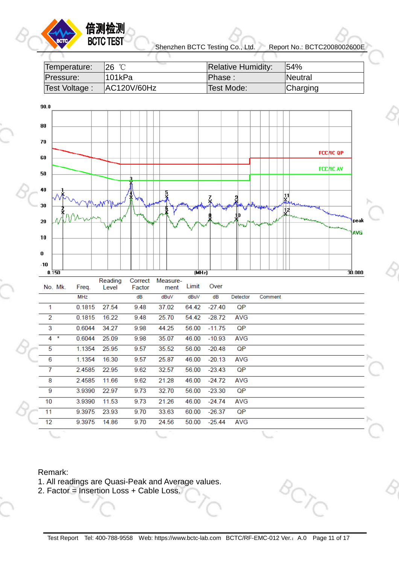| Temperature:  | $26^{\circ}$ C | <b>Relative Humidity:</b> | 154%     |
|---------------|----------------|---------------------------|----------|
| Pressure:     | "101kPa        | Phase :                   | Neutral  |
| Test Voltage: | AC120V/60Hz    | Test Mode:                | Charging |



#### Remark:

- 1. All readings are Quasi-Peak and Average values.
- 2. Factor = Insertion Loss + Cable Loss.

倍测检测 **BCTC TEST**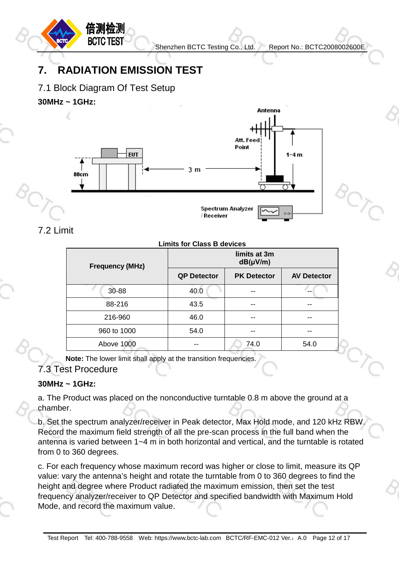U)

## <span id="page-11-0"></span>**7. RADIATION EMISSION TEST**

<span id="page-11-1"></span>7.1 Block Diagram Of Test Setup

倍测检测 **BCTC TEST** 

**30MHz ~ 1GHz:**



<span id="page-11-2"></span>7.2 Limit

#### **Limits for Class B devices**

| <b>Frequency (MHz)</b> | limits at 3m<br>$dB(\mu V/m)$ |                    |                    |
|------------------------|-------------------------------|--------------------|--------------------|
|                        | <b>QP Detector</b>            | <b>PK Detector</b> | <b>AV Detector</b> |
| 30-88                  | 40.0                          |                    |                    |
| 88-216                 | 43.5                          |                    |                    |
| 216-960                | 46.0                          |                    |                    |
| 960 to 1000            | 54.0                          |                    |                    |
| Above 1000             |                               | 74.0               | 54.0               |

**Note:** The lower limit shall apply at the transition frequencies.

#### <span id="page-11-3"></span>7.3 Test Procedure

#### **30MHz ~ 1GHz:**

a. The Product was placed on the nonconductive turntable 0.8 m above the ground at a chamber.

b. Set the spectrum analyzer/receiver in Peak detector, Max Hold mode, and 120 kHz RBW. Record the maximum field strength of all the pre-scan process in the full band when the antenna is varied between 1~4 m in both horizontal and vertical, and the turntable is rotated from 0 to 360 degrees.

c. For each frequency whose maximum record was higher or close to limit, measure its QP value: vary the antenna's height and rotate the turntable from 0 to 360 degrees to find the height and degree where Product radiated the maximum emission, then set the test frequency analyzer/receiver to QP Detector and specified bandwidth with Maximum Hold Mode, and record the maximum value.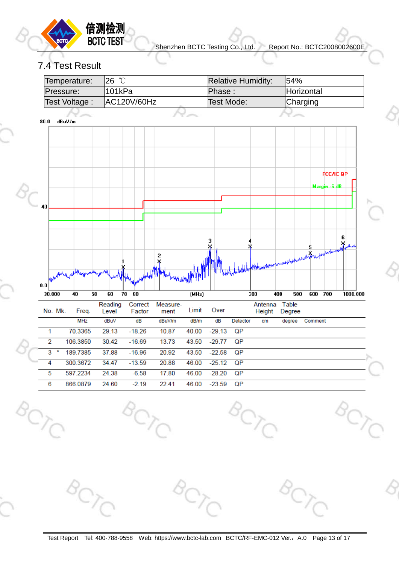

 $\mathbb{C}_{\mathcal{C}}$ 

#### <span id="page-12-0"></span>7.4 Test Result

| Temperature:  | $26^{\circ}$ C | <b>Relative Humidity:</b> | 54%               |
|---------------|----------------|---------------------------|-------------------|
| Pressure:     | 101kPa         | Phase:                    | <b>Horizontal</b> |
| Test Voltage: | AC120V/60Hz    | Test Mode:                | Charging          |
|               |                |                           |                   |

 $80.0$ dBuV/m

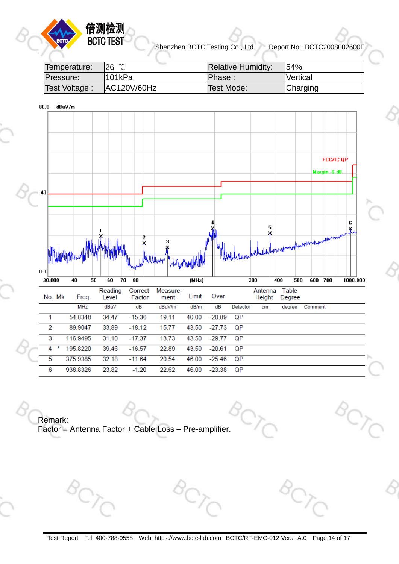

#### 倍测检测 **BCTC TEST**

Shenzhen BCTC Testing Co., Ltd. Report No.: BCTC2008002600E

| Temperature:   | 126 ℃               | <b>Relative Humidity:</b> | $154\%$         |
|----------------|---------------------|---------------------------|-----------------|
| Pressure:      | <sup>¶</sup> 101kPa | Phase:                    | Vertical        |
| Test Voltage : | AC120V/60Hz         | 'Test Mode:               | <b>Charging</b> |





Remark: Factor = Antenna Factor + Cable Loss – Pre-amplifier.

Test Report Tel: 400-788-9558 Web: https://www.bctc-lab.com BCTC/RF-EMC-012 Ver.: A.0 Page 14 of 17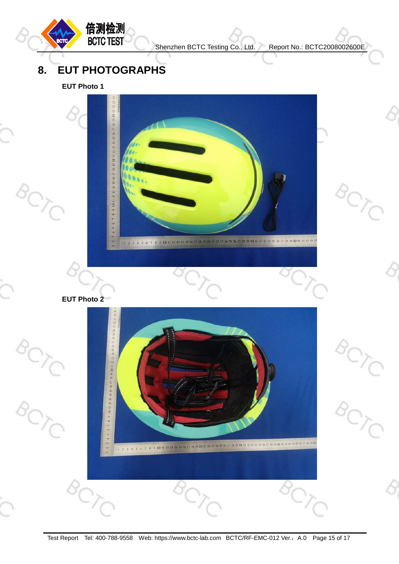**BCTC** 

 $\sim C$ 

## <span id="page-14-0"></span>**8. EUT PHOTOGRAPHS**

倍测检测<br>BCTC TEST

**EUT Photo 1**



**EUT Photo 2** 

 $8C$ 

 $\frac{1}{\sqrt{2}}$ 

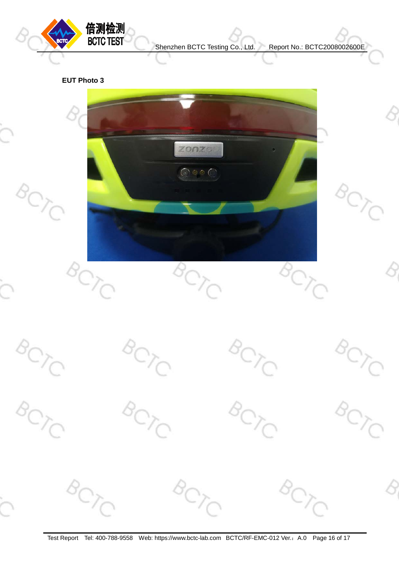

#### **EUT Photo 3**



Test Report Tel: 400-788-9558 Web: https://www.bctc-lab.com BCTC/RF-EMC-012 Ver.: A.0 Page 16 of 17